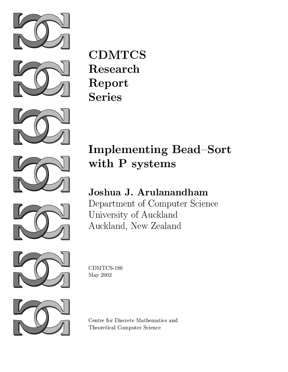









**CDMTCS** Research Report **Series** 

# **Implementing Bead-Sort** with P systems

## Joshua J. Arulanandham

Department of Computer Science University of Auckland Auckland, New Zealand



CDMTCS-186 May 2002



Centre for Discrete Mathematics and **Theoretical Computer Science**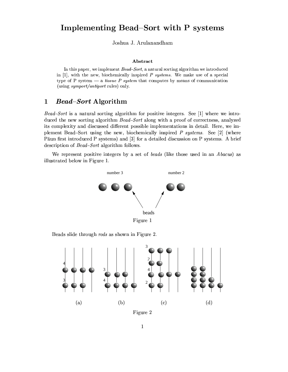## Implementing Bead–Sort with P systems

Joshua J. Arulanandham

#### Abstract

In this paper, we implement  $Bead-Sort$ , a natural sorting algorithm we introduced in [1], with the new, biochemically inspired  $P$  systems. We make use of a special type of P system  $-$  a *tissue P system* that computes by means of communication (using symport/antiport rules) only.

#### **Bead-Sort Algorithm**  $\mathbf{1}$

*Bead–Sort* is a natural sorting algorithm for positive integers. See [1] where we introduced the new sorting algorithm *Bead–Sort* along with a proof of correctness, analyzed its complexity and discussed different possible implementations in detail. Here, we implement Bead-Sort using the new, biochemically inspired P systems. See [2] (where Păun first introduced P systems) and [3] for a detailed discussion on P systems. A brief description of *Bead-Sort* algorithm follows.

We represent positive integers by a set of beads (like those used in an Abacus) as illustrated below in Figure 1.



Beads slide through *rods* as shown in Figure 2.



Figure 2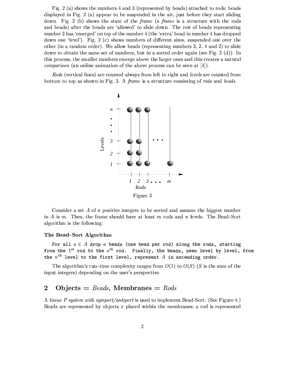Fig. 2 (a) shows the numbers 4 and 3 (represented by beads) attached to rods; beads displayed in Fig. 2 (a) appear to be suspended in the air, just before they start sliding down. Fig. 2 (b) shows the state of the *frame* (a *frame* is a structure with the rods and beads) after the beads are 'allowed' to slide down. The row of beads representing number 3 has 'emerged' on top of the number 4 (the 'extra' bead in number 4 has dropped down one 'level'). Fig. 2 (c) shows numbers of different sizes, suspended one over the other (in a random order). We allow beads (representing numbers 3, 2, 4 and 2) to slide down to obtain the same set of numbers, but in a sorted order again (see Fig. 2 (d)). In this process, the smaller numbers emerge above the larger ones and this creates a natural *comparison* (an online animation of the above process can be seen at  $[4]$ ).

Rods (vertical lines) are counted always from left to right and levels are counted from bottom to top as shown in Fig. 3. A frame is a structure consisting of rods and beads.



Consider a set A of n positive integers to be sorted and assume the biggest number in  $A$  is  $m$ . Then, the frame should have at least  $m$  rods and  $n$  levels. The Bead-Sort algorithm is the following:

#### The Bead-Sort Algorithm

For all  $a \in A$  drop a beads (one bead per rod) along the rods, starting from the  $1^{st}$  rod to the  $a^{th}$  rod. Finally, the beads, seen level by level, from the  $n^{th}$  level to the first level, represent  $A$  in ascending order.

The algorithm's run-time complexity ranges from  $O(1)$  to  $O(S)$  (S is the sum of the input integers) depending on the user's perspective.

#### $\boldsymbol{2}$  $\text{Objects} = \text{Beads}, \text{Members} = \text{Rods}$

A *tissue P system with symport/antiport* is used to implement Bead-Sort. (See Figure 4.) Beads are represented by objects x placed within the membranes; a rod is represented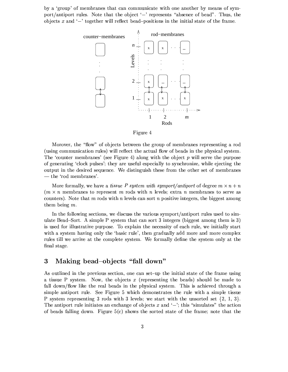by a 'group' of membranes that can communicate with one another by means of symport/antiport rules. Note that the object '-' represents "absence of bead". Thus, the objects x and  $-$  together will reflect bead-positions in the initial state of the frame.



Figure 4

Morover, the "flow" of objects between the group of membranes representing a rod (using communication rules) will reflect the actual flow of beads in the physical system. The 'counter membranes' (see Figure 4) along with the object  $p$  will serve the purpose of generating 'clock pulses'; they are useful especially to synchronize, while ejecting the output in the desired sequence. We distinguish these from the other set of membranes — the 'rod membranes'.

More formally, we have a *tissue P system with symport/antiport* of degree  $m \times n + n$  $(m \times n$  membranes to represent m rods with n levels; extra n membranes to serve as counters). Note that m rods with n levels can sort n positive integers, the biggest among them being  $m$ .

In the following sections, we discuss the various symport/antiport rules used to simulate Bead–Sort. A simple P system that can sort 3 integers (biggest among them is 3) is used for illustrative purpose. To explain the necessity of each rule, we initially start with a system having only the 'basic rule', then gradually add more and more complex rules till we arrive at the complete system. We formally define the system only at the final stage.

#### Making bead-objects "fall down" 3

As outlined in the previous section, one can set-up the initial state of the frame using a tissue P system. Now, the objects x (representing the beads) should be made to fall down/flow like the real beads in the physical system. This is achieved through a simple antiport rule. See Figure 5 which demonstrates the rule with a simple tissue P system representing 3 rods with 3 levels; we start with the unsorted set  $\{2, 1, 3\}$ . The antiport rule initiates an exchange of objects x and  $\langle - \rangle$ ; this "simulates" the action of beads falling down. Figure  $5(c)$  shows the sorted state of the frame; note that the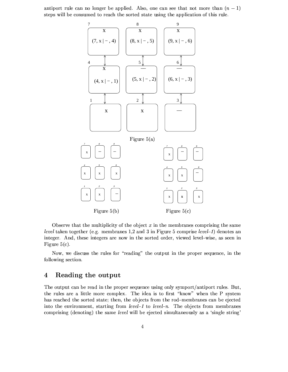antiport rule can no longer be applied. Also, one can see that not more than  $(n - 1)$ steps will be consumed to reach the sorted state using the application of this rule.



Observe that the multiplicity of the object  $x$  in the membranes comprising the same level taken together (e.g. membranes 1,2 and 3 in Figure 5 comprise level-1) denotes an integer. And, these integers are now in the sorted order, viewed level-wise, as seen in Figure  $5(c)$ .

Now, we discuss the rules for "reading" the output in the proper sequence, in the following section.

#### Reading the output  $\boldsymbol{4}$

The output can be read in the proper sequence using only symport/antiport rules. But, the rules are a little more complex. The idea is to first "know" when the P system has reached the sorted state; then, the objects from the rod-membranes can be ejected into the environment, starting from level-1 to level-n. The objects from membranes comprising (denoting) the same *level* will be ejected simultaneously as a 'single string'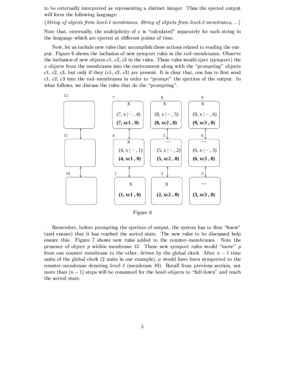to be externally interpreted as representing a distinct integer. Thus the ejected output will form the following language:

{String of objects from level-1 membranes, String of objects from level-2 membranes, ...}

Note that, externally, the multiplicity of x is "calculated" separately for each string in the language which are ejected at different points of time.

Now, let us include new rules that accomplish these actions related to reading the output. Figure 6 shows the inclusion of new symport rules in the rod-membranes. Observe the inclusion of new objects c1, c2, c3 in the rules. These rules would eject (symport) the x objects from the membranes into the environment along with the "prompting" objects c1, c2, c3, but only if they (c1, c2, c3) are present. It is clear that, one has to first send c1, c2, c3 into the rod-membranes in order to "prompt" the ejection of the output. In what follows, we discuss the rules that do the "prompting".



| F igure | n |
|---------|---|
|         |   |

Remember, before prompting the ejection of output, the system has to first "know" (and ensure) that it has reached the sorted state. The new rules to be discussed help ensure this. Figure 7 shows new rules added to the counter-membranes. Note the presence of object p within membrane 12. These new symport rules would "move" p from one counter membrane to the other, driven by the global clock. After  $n-1$  time units of the global clock (2 units in our example), p would have been symported to the counter-membrane denoting level-1 (membrane 10). Recall from previous section, not more than  $(n-1)$  steps will be consumed for the bead-objects to "fall down" and reach the sorted state.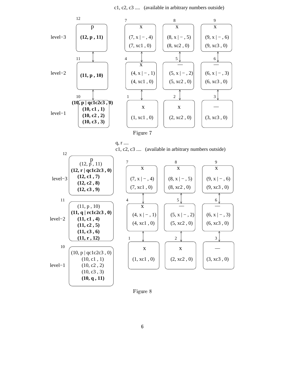c1, c2, c3 .... (available in arbitrary numbers outside)



Figure  $7$ 

c1, c2, c3 .... (available in arbitrary numbers outside) q, r ....

| 12        |                                                                                                   | $\mathcal{L}_1, \mathcal{L}_2, \mathcal{L}_3, \ldots, \mathcal{L}_n$ and the magnetic parameter $\mathcal{L}_n$ |                                              |                                              |
|-----------|---------------------------------------------------------------------------------------------------|-----------------------------------------------------------------------------------------------------------------|----------------------------------------------|----------------------------------------------|
| $level-3$ | $(12, \frac{p}{p}, 11)$<br>(12, r   qc1c2c3, 0)<br>(12, c1, 7)<br>(12, c2, 8)<br>(12, c3, 9)      | $\overline{7}$<br>$\mathbf X$<br>$(7, x \,   -1, 4)$<br>(7, xc1, 0)                                             | 8<br>X<br>$(8, x \,   - , 5)$<br>(8, xc2, 0) | 9<br>X<br>$(9, x \mid -1, 6)$<br>(9, xc3, 0) |
| 11        |                                                                                                   | $\overline{4}$                                                                                                  | 5                                            | 6 <sub>1</sub>                               |
| $level-2$ | (11, p, 10)<br>$(11, q  $ rc1c2c3, 0)<br>(11, c1, 4)<br>(11, c2, 5)<br>(11, c3, 6)<br>(11, r, 12) | X<br>$(4, x \mid -1, 1)$<br>(4, xc1, 0)                                                                         | $(5, x \mid - , 2)$<br>(5, xc2, 0)<br>2      | $(6, x \mid -1, 3)$<br>(6, xc3, 0)<br>3      |
| 10        |                                                                                                   |                                                                                                                 |                                              |                                              |
| $level-1$ | (10, p   qc1c2c3, 0)<br>(10, c1, 1)<br>(10, c2, 2)<br>(10, c3, 3)<br>(10, q, 11)                  | X<br>(1, xc1, 0)                                                                                                | X<br>(2, xc2, 0)                             | (3, xc3, 0)                                  |

Figure 8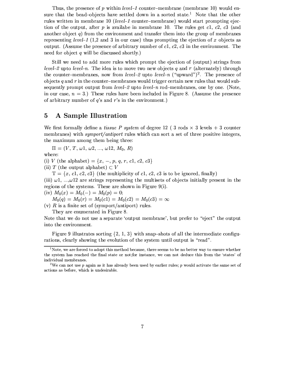Thus, the presence of p within level-1 counter-membrane (membrane 10) would ensure that the bead-objects have settled down in a sorted state.<sup>1</sup> Note that the other rules written in membrane 10 (level-1 counter-membrane) would start prompting ejection of the output, after p is available in membrane 10. The rules get c1, c2, c3 (and another object q) from the environment and transfer them into the group of membranes representing level-1 (1,2 and 3 in our case) thus prompting the ejection of x objects as output. (Assume the presence of arbitrary number of  $c1$ ,  $c2$ ,  $c3$  in the environment. The need for object q will be discussed shortly.)

Still we need to add more rules which prompt the ejection of (output) strings from level–2 upto level–n. The idea is to move two new objects q and r (alternately) through the counter-membranes, now from *level-2* upto *level-n* ("upward")<sup>2</sup>. The presence of objects q and r in the counter-membranes would trigger certain new rules that would subsequently prompt output from level-2 upto level-n rod-membranes, one by one. (Note, in our case,  $n = 3$ .) These rules have been included in Figure 8. (Assume the presence of arbitrary number of  $q$ 's and  $r$ 's in the environment.)

#### $\overline{5}$ A Sample Illustration

We first formally define a *tissue P system* of degree 12 (3 rods  $\times$  3 levels + 3 counter membranes) with *symport/antiport* rules which can sort a set of three positive integers, the maximum among them being three:

 $\Pi = (V, T, \omega 1, \omega 2, ..., \omega 12, M_0, R)$ 

where:

(i) V (the alphabet) =  $\{x, -, p, q, r, c1, c2, c3\}$ 

(ii) T (the output alphabet)  $\subset V$ 

 $T = \{x, c1, c2, c3\}$  (the multiplicity of c1, c2, c3 is to be ignored, finally)

(iii)  $\omega$ 1, ..., $\omega$ 12 are strings representing the multisets of objects initially present in the regions of the systems. These are shown in Figure  $9(i)$ .

(iv)  $M_0(x) = M_0(-) = M_0(p) = 0;$ 

 $M_0(q) = M_0(r) = M_0(c1) = M_0(c2) = M_0(c3) = \infty$ 

(v) R is a finite set of (symport/antiport) rules.

They are enumerated in Figure 8.

Note that we do not use a separate 'output membrane', but prefer to "eject" the output into the environment.

Figure 9 illustrates sorting  $\{2, 1, 3\}$  with snap-shots of all the intermediate configurations, clearly showing the evolution of the system until output is "read".

 $1$ Note, we are forced to adopt this method because, there seems to be no better way to ensure whether the system has reached the final state or not; for instance, we can not deduce this from the 'states' of individual membranes.

<sup>&</sup>lt;sup>2</sup>We can not use p again as it has already been used by earlier rules; p would activate the same set of actions as before, which is undesirable.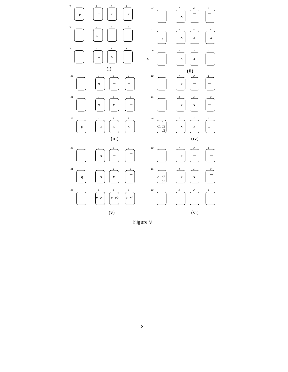

Figure 9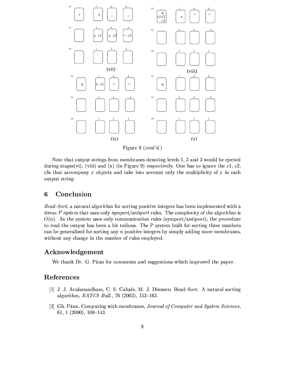

Figure 9  $(cont'd.)$ 

Note that output strings from membranes denoting levels 1, 2 and 3 would be ejected during stages (vi), (viii) and (x) (in Figure 9) respectively. One has to ignore the c1, c2, c3s that accompany x objects and take into account only the multiplicity of x in each output string.

#### Conclusion 6

Bead-Sort, a natural algorithm for sorting positive integers has been implemented with a *tissue P system* that uses only *symport/antiport* rules. The complexity of the algorithm is  $O(n)$ . As the system uses only communication rules (symport/antiport), the procedure to read the output has been a bit tedious. The P system built for sorting three numbers can be generalized for sorting any  $n$  positive integers by simply adding more membranes, without any change in the number of rules employed.

### Acknowledgement

We thank Dr. G. Paun for comments and suggestions which improved the paper.

### References

- [1] J. J. Arulanandham, C. S. Calude, M. J. Dinneen. Bead-Sort: A natural sorting algorithm,  $EATCS$  Bull., 76 (2002), 153-162.
- [2] Gh. Păun. Computing with membranes, Journal of Computer and System Sciences, 61, 1  $(2000)$ , 108-143.